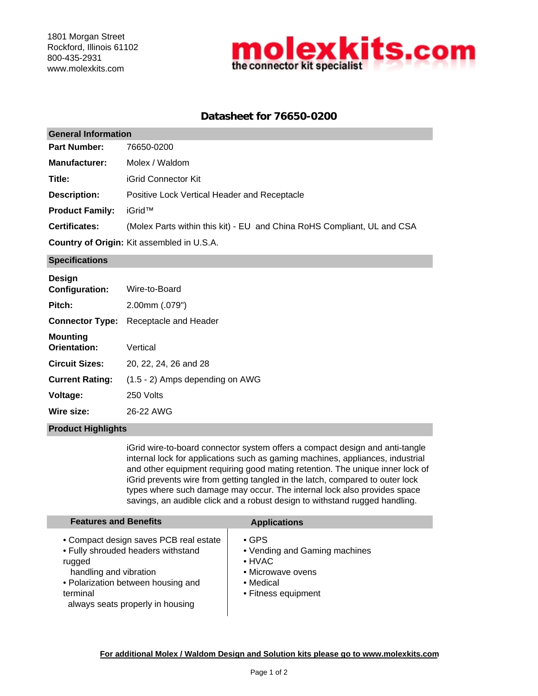

# **Datasheet for 76650-0200**

#### 76650-0200 **Manufacturer: Title:** iGrid Connector Kit **General Information** Molex / Waldom **Part Number:**

Positive Lock Vertical Header and Receptacle **Description:**

iGrid™ **Product Family:**

**Certificates:** (Molex Parts within this kit) - EU and China RoHS Compliant, UL and CSA

**Country of Origin:** Kit assembled in U.S.A.

## **Specifications**

| <b>Design</b>                   |                                 |
|---------------------------------|---------------------------------|
| <b>Configuration:</b>           | Wire-to-Board                   |
| Pitch:                          | $2.00$ mm $(.079")$             |
| <b>Connector Type:</b>          | Receptacle and Header           |
| <b>Mounting</b><br>Orientation: | Vertical                        |
| <b>Circuit Sizes:</b>           | 20, 22, 24, 26 and 28           |
| <b>Current Rating:</b>          | (1.5 - 2) Amps depending on AWG |
| Voltage:                        | 250 Volts                       |
| Wire size:                      | 26-22 AWG                       |
|                                 |                                 |

### **Product Highlights**

iGrid wire-to-board connector system offers a compact design and anti-tangle internal lock for applications such as gaming machines, appliances, industrial and other equipment requiring good mating retention. The unique inner lock of iGrid prevents wire from getting tangled in the latch, compared to outer lock types where such damage may occur. The internal lock also provides space savings, an audible click and a robust design to withstand rugged handling.

| <b>Features and Benefits</b>                                                                                                                                                                           | <b>Applications</b>                                                                                                     |
|--------------------------------------------------------------------------------------------------------------------------------------------------------------------------------------------------------|-------------------------------------------------------------------------------------------------------------------------|
| • Compact design saves PCB real estate<br>• Fully shrouded headers withstand<br>rugged<br>handling and vibration<br>• Polarization between housing and<br>terminal<br>always seats properly in housing | $\cdot$ GPS<br>• Vending and Gaming machines<br>$\bullet$ HVAC<br>• Microwave ovens<br>• Medical<br>• Fitness equipment |